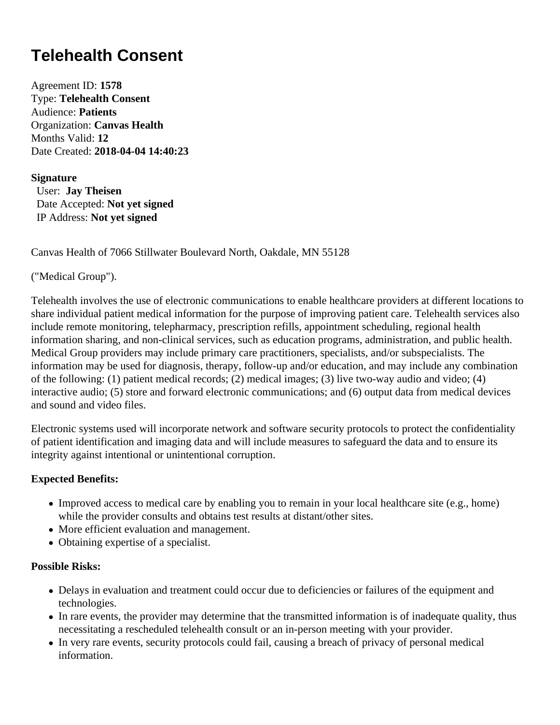# **Telehealth Consent**

Agreement ID: **1578** Type: **Telehealth Consent** Audience: **Patients** Organization: **Canvas Health** Months Valid: **12** Date Created: **2018-04-04 14:40:23**

#### **Signature**

 User: **Jay Theisen** Date Accepted: **Not yet signed** IP Address: **Not yet signed**

Canvas Health of 7066 Stillwater Boulevard North, Oakdale, MN 55128

("Medical Group").

Telehealth involves the use of electronic communications to enable healthcare providers at different locations to share individual patient medical information for the purpose of improving patient care. Telehealth services also include remote monitoring, telepharmacy, prescription refills, appointment scheduling, regional health information sharing, and non-clinical services, such as education programs, administration, and public health. Medical Group providers may include primary care practitioners, specialists, and/or subspecialists. The information may be used for diagnosis, therapy, follow-up and/or education, and may include any combination of the following: (1) patient medical records; (2) medical images; (3) live two-way audio and video; (4) interactive audio; (5) store and forward electronic communications; and (6) output data from medical devices and sound and video files.

Electronic systems used will incorporate network and software security protocols to protect the confidentiality of patient identification and imaging data and will include measures to safeguard the data and to ensure its integrity against intentional or unintentional corruption.

## **Expected Benefits:**

- Improved access to medical care by enabling you to remain in your local healthcare site (e.g., home) while the provider consults and obtains test results at distant/other sites.
- More efficient evaluation and management.
- Obtaining expertise of a specialist.

#### **Possible Risks:**

- Delays in evaluation and treatment could occur due to deficiencies or failures of the equipment and technologies.
- In rare events, the provider may determine that the transmitted information is of inadequate quality, thus necessitating a rescheduled telehealth consult or an in-person meeting with your provider.
- In very rare events, security protocols could fail, causing a breach of privacy of personal medical information.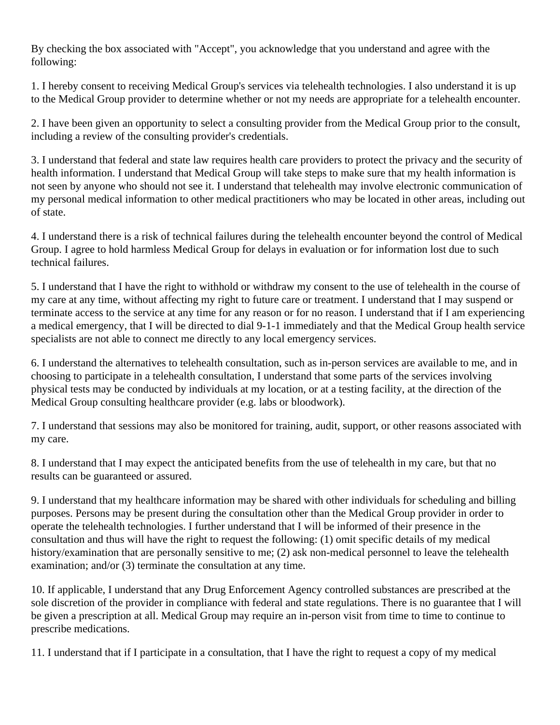By checking the box associated with "Accept", you acknowledge that you understand and agree with the following:

1. I hereby consent to receiving Medical Group's services via telehealth technologies. I also understand it is up to the Medical Group provider to determine whether or not my needs are appropriate for a telehealth encounter.

2. I have been given an opportunity to select a consulting provider from the Medical Group prior to the consult, including a review of the consulting provider's credentials.

3. I understand that federal and state law requires health care providers to protect the privacy and the security of health information. I understand that Medical Group will take steps to make sure that my health information is not seen by anyone who should not see it. I understand that telehealth may involve electronic communication of my personal medical information to other medical practitioners who may be located in other areas, including out of state.

4. I understand there is a risk of technical failures during the telehealth encounter beyond the control of Medical Group. I agree to hold harmless Medical Group for delays in evaluation or for information lost due to such technical failures.

5. I understand that I have the right to withhold or withdraw my consent to the use of telehealth in the course of my care at any time, without affecting my right to future care or treatment. I understand that I may suspend or terminate access to the service at any time for any reason or for no reason. I understand that if I am experiencing a medical emergency, that I will be directed to dial 9-1-1 immediately and that the Medical Group health service specialists are not able to connect me directly to any local emergency services.

6. I understand the alternatives to telehealth consultation, such as in-person services are available to me, and in choosing to participate in a telehealth consultation, I understand that some parts of the services involving physical tests may be conducted by individuals at my location, or at a testing facility, at the direction of the Medical Group consulting healthcare provider (e.g. labs or bloodwork).

7. I understand that sessions may also be monitored for training, audit, support, or other reasons associated with my care.

8. I understand that I may expect the anticipated benefits from the use of telehealth in my care, but that no results can be guaranteed or assured.

9. I understand that my healthcare information may be shared with other individuals for scheduling and billing purposes. Persons may be present during the consultation other than the Medical Group provider in order to operate the telehealth technologies. I further understand that I will be informed of their presence in the consultation and thus will have the right to request the following: (1) omit specific details of my medical history/examination that are personally sensitive to me; (2) ask non-medical personnel to leave the telehealth examination; and/or (3) terminate the consultation at any time.

10. If applicable, I understand that any Drug Enforcement Agency controlled substances are prescribed at the sole discretion of the provider in compliance with federal and state regulations. There is no guarantee that I will be given a prescription at all. Medical Group may require an in-person visit from time to time to continue to prescribe medications.

11. I understand that if I participate in a consultation, that I have the right to request a copy of my medical